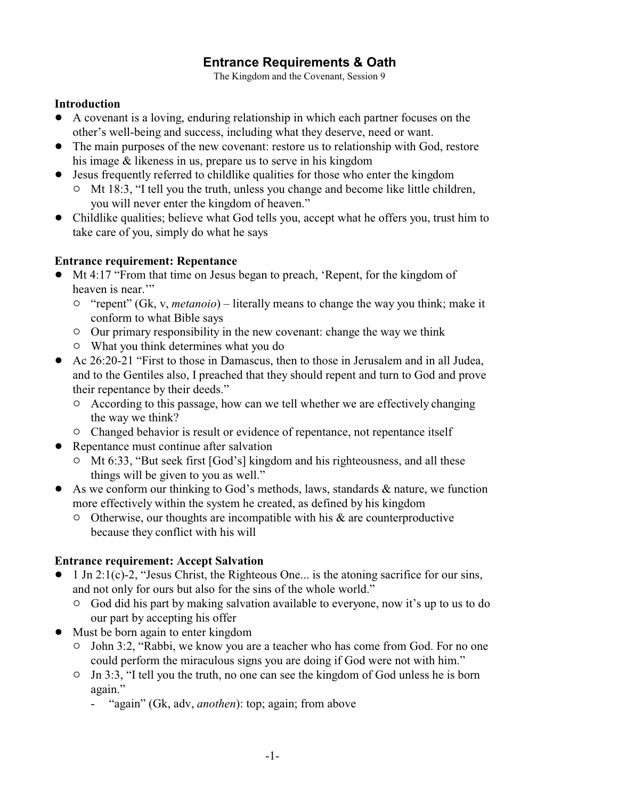# **Entrance Requirements & Oath**

The Kingdom and the Covenant, Session 9

#### **Introduction**

- ! A covenant is a loving, enduring relationship in which each partner focuses on the other's well-being and success, including what they deserve, need or want.
- The main purposes of the new covenant: restore us to relationship with God, restore his image & likeness in us, prepare us to serve in his kingdom
- ! Jesus frequently referred to childlike qualities for those who enter the kingdom
	- $\circ$  Mt 18:3, "I tell you the truth, unless you change and become like little children, you will never enter the kingdom of heaven."
- Childlike qualities; believe what God tells you, accept what he offers you, trust him to take care of you, simply do what he says

### **Entrance requirement: Repentance**

- ! Mt 4:17 "From that time on Jesus began to preach, 'Repent, for the kingdom of heaven is near."
	- <sup>o</sup> "repent" (Gk, v, *metanoio*) literally means to change the way you think; make it conform to what Bible says
	- <sup>o</sup> Our primary responsibility in the new covenant: change the way we think
	- $\circ$  What you think determines what you do
- ! Ac 26:20-21 "First to those in Damascus, then to those in Jerusalem and in all Judea, and to the Gentiles also, I preached that they should repent and turn to God and prove their repentance by their deeds."
	- <sup>o</sup> According to this passage, how can we tell whether we are effectively changing the way we think?
	- <sup>o</sup> Changed behavior is result or evidence of repentance, not repentance itself
- Repentance must continue after salvation
	- <sup>o</sup> Mt 6:33, "But seek first [God's] kingdom and his righteousness, and all these things will be given to you as well."
- $\bullet$  As we conform our thinking to God's methods, laws, standards & nature, we function more effectively within the system he created, as defined by his kingdom
	- $\circ$  Otherwise, our thoughts are incompatible with his & are counterproductive because they conflict with his will

#### **Entrance requirement: Accept Salvation**

- $\bullet$  1 Jn 2:1(c)-2, "Jesus Christ, the Righteous One... is the atoning sacrifice for our sins, and not only for ours but also for the sins of the whole world."
	- $\circ$  God did his part by making salvation available to everyone, now it's up to us to do our part by accepting his offer
- Must be born again to enter kingdom
	- <sup>o</sup> John 3:2, "Rabbi, we know you are a teacher who has come from God. For no one could perform the miraculous signs you are doing if God were not with him."
	- $\circ$  Jn 3:3, "I tell you the truth, no one can see the kingdom of God unless he is born again."
		- "again" (Gk, adv, *anothen*): top; again; from above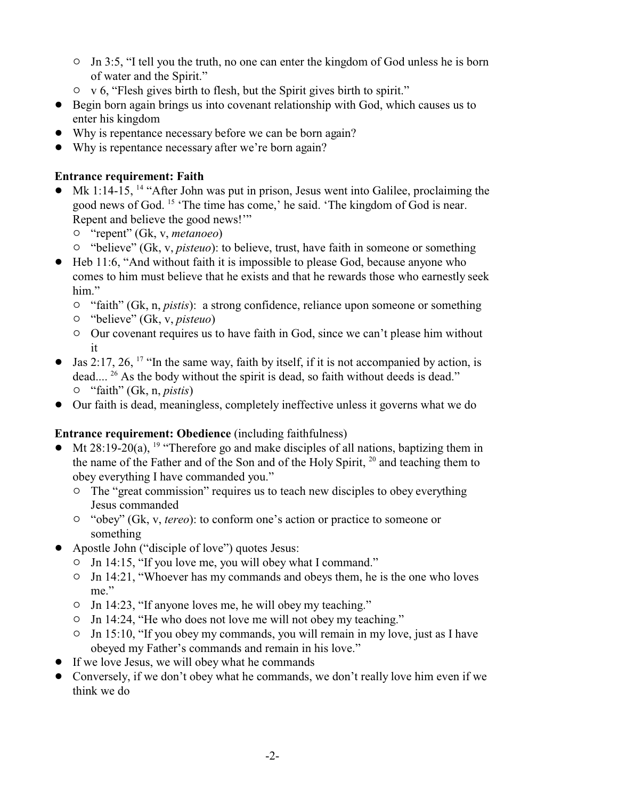- $\circ$  Jn 3:5, "I tell you the truth, no one can enter the kingdom of God unless he is born of water and the Spirit."
- $\circ$  v 6, "Flesh gives birth to flesh, but the Spirit gives birth to spirit."
- ! Begin born again brings us into covenant relationship with God, which causes us to enter his kingdom
- ! Why is repentance necessary before we can be born again?
- Why is repentance necessary after we're born again?

# **Entrance requirement: Faith**

- $\bullet$  Mk 1:14-15, <sup>14</sup> "After John was put in prison, Jesus went into Galilee, proclaiming the good news of God. <sup>15</sup> 'The time has come,' he said. 'The kingdom of God is near. Repent and believe the good news!'"
	- " "repent" (Gk, v, *metanoeo*)
	- <sup>o</sup> "believe" (Gk, v, *pisteuo*): to believe, trust, have faith in someone or something
- ! Heb 11:6, "And without faith it is impossible to please God, because anyone who comes to him must believe that he exists and that he rewards those who earnestly seek him"
	- <sup>o</sup> "faith" (Gk, n, *pistis*): a strong confidence, reliance upon someone or something
	- " "believe" (Gk, v, *pisteuo*)
	- $\circ$  Our covenant requires us to have faith in God, since we can't please him without it
- $\bullet$  Jas 2:17, 26, <sup>17</sup> "In the same way, faith by itself, if it is not accompanied by action, is dead.... <sup>26</sup> As the body without the spirit is dead, so faith without deeds is dead." " "faith" (Gk, n, *pistis*)
- Our faith is dead, meaningless, completely ineffective unless it governs what we do

# **Entrance requirement: Obedience** (including faithfulness)

- Mt 28:19-20(a), <sup>19</sup> "Therefore go and make disciples of all nations, baptizing them in the name of the Father and of the Son and of the Holy Spirit,  $20$  and teaching them to obey everything I have commanded you."
	- <sup>o</sup> The "great commission" requires us to teach new disciples to obey everything Jesus commanded
	- " "obey" (Gk, v, *tereo*): to conform one's action or practice to someone or something
- ! Apostle John ("disciple of love") quotes Jesus:
	- $\circ$  Jn 14:15, "If you love me, you will obey what I command."
	- $\circ$  Jn 14:21, "Whoever has my commands and obeys them, he is the one who loves me."
	- $\circ$  Jn 14:23, "If anyone loves me, he will obey my teaching."
	- $\circ$  Jn 14:24, "He who does not love me will not obey my teaching."
	- $\circ$  Jn 15:10, "If you obey my commands, you will remain in my love, just as I have obeyed my Father's commands and remain in his love."
- ! If we love Jesus, we will obey what he commands
- ! Conversely, if we don't obey what he commands, we don't really love him even if we think we do